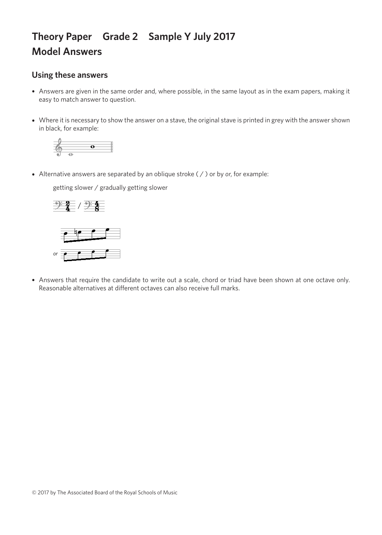## **Theory Paper Grade 2 Sample Y July 2017 Model Answers**

## **Using these answers**

- Answers are given in the same order and, where possible, in the same layout as in the exam papers, making it easy to match answer to question.
- Where it is necessary to show the answer on a stave, the original stave is printed in grey with the answer shown in black, for example:



• Alternative answers are separated by an oblique stroke ( / ) or by *or*, for example:

getting slower / gradually getting slower getting slower / gradually getting slower getting slower / gradually getting slower getting slower / gradually getting slower





• Answers that require the candidate to write out a scale, chord or triad have been shown at one octave only. Reasonable alternatives at different octaves can also receive full marks.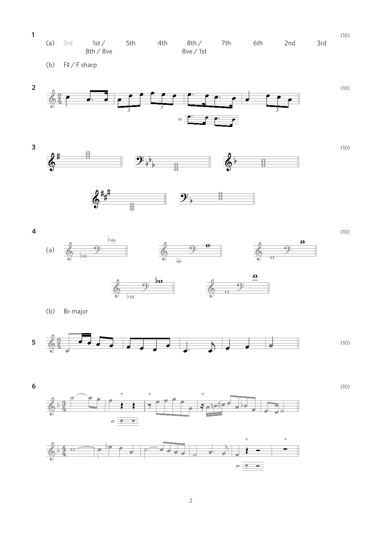







 $\overline{\mathbf{4}}$ 





 $(10)$ 

(b) Bb major

(b) F#/F sharp